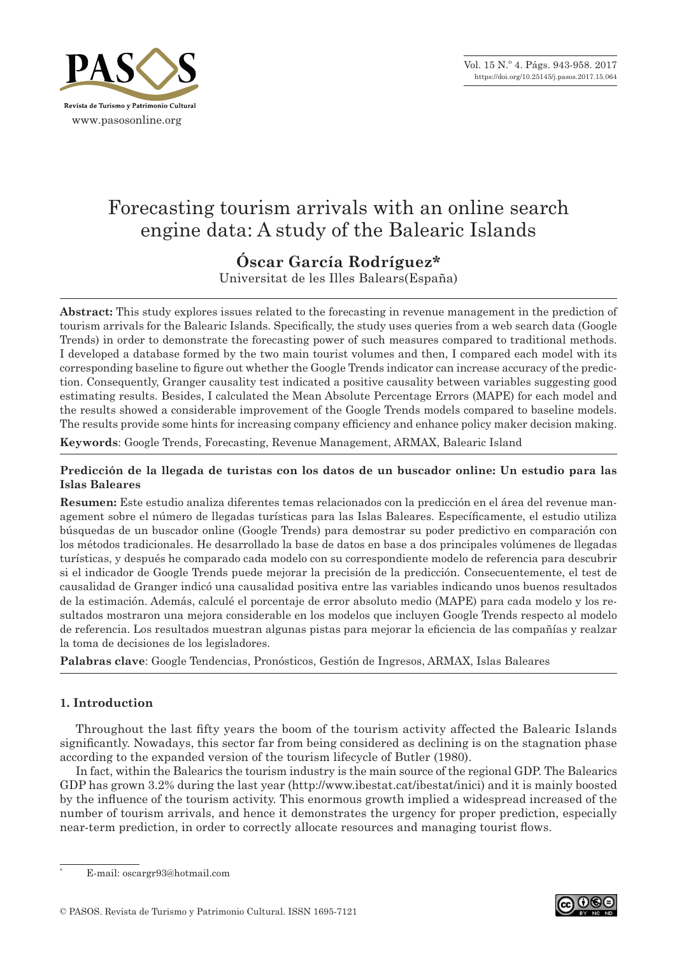

# Forecasting tourism arrivals with an online search engine data: A study of the Balearic Islands

## **Óscar García Rodríguez\***

Universitat de les Illes Balears(España)

**Abstract:** This study explores issues related to the forecasting in revenue management in the prediction of tourism arrivals for the Balearic Islands. Specifically, the study uses queries from a web search data (Google Trends) in order to demonstrate the forecasting power of such measures compared to traditional methods. I developed a database formed by the two main tourist volumes and then, I compared each model with its corresponding baseline to figure out whether the Google Trends indicator can increase accuracy of the predic‑ tion. Consequently, Granger causality test indicated a positive causality between variables suggesting good estimating results. Besides, I calculated the Mean Absolute Percentage Errors (MAPE) for each model and the results showed a considerable improvement of the Google Trends models compared to baseline models. The results provide some hints for increasing company efficiency and enhance policy maker decision making.

**Keywords**: Google Trends, Forecasting, Revenue Management, ARMAX, Balearic Island

## **Predicción de la llegada de turistas con los datos de un buscador online: Un estudio para las Islas Baleares**

**Resumen:** Este estudio analiza diferentes temas relacionados con la predicción en el área del revenue man‑ agement sobre el número de llegadas turísticas para las Islas Baleares. Específicamente, el estudio utiliza búsquedas de un buscador online (Google Trends) para demostrar su poder predictivo en comparación con los métodos tradicionales. He desarrollado la base de datos en base a dos principales volúmenes de llegadas turísticas, y después he comparado cada modelo con su correspondiente modelo de referencia para descubrir si el indicador de Google Trends puede mejorar la precisión de la predicción. Consecuentemente, el test de causalidad de Granger indicó una causalidad positiva entre las variables indicando unos buenos resultados de la estimación. Además, calculé el porcentaje de error absoluto medio (MAPE) para cada modelo y los re‑ sultados mostraron una mejora considerable en los modelos que incluyen Google Trends respecto al modelo de referencia. Los resultados muestran algunas pistas para mejorar la eficiencia de las compañías y realzar la toma de decisiones de los legisladores.

**Palabras clave**: Google Tendencias, Pronósticos, Gestión de Ingresos, ARMAX, Islas Baleares

## **1. Introduction**

Throughout the last fifty years the boom of the tourism activity affected the Balearic Islands significantly. Nowadays, this sector far from being considered as declining is on the stagnation phase according to the expanded version of the tourism lifecycle of Butler (1980).

In fact, within the Balearics the tourism industry is the main source of the regional GDP. The Balearics GDP has grown 3.2% during the last year (http://www.ibestat.cat/ibestat/inici) and it is mainly boosted by the influence of the tourism activity. This enormous growth implied a widespread increased of the number of tourism arrivals, and hence it demonstrates the urgency for proper prediction, especially near-term prediction, in order to correctly allocate resources and managing tourist flows.

<sup>\*</sup> E-mail: oscargr93@hotmail.com



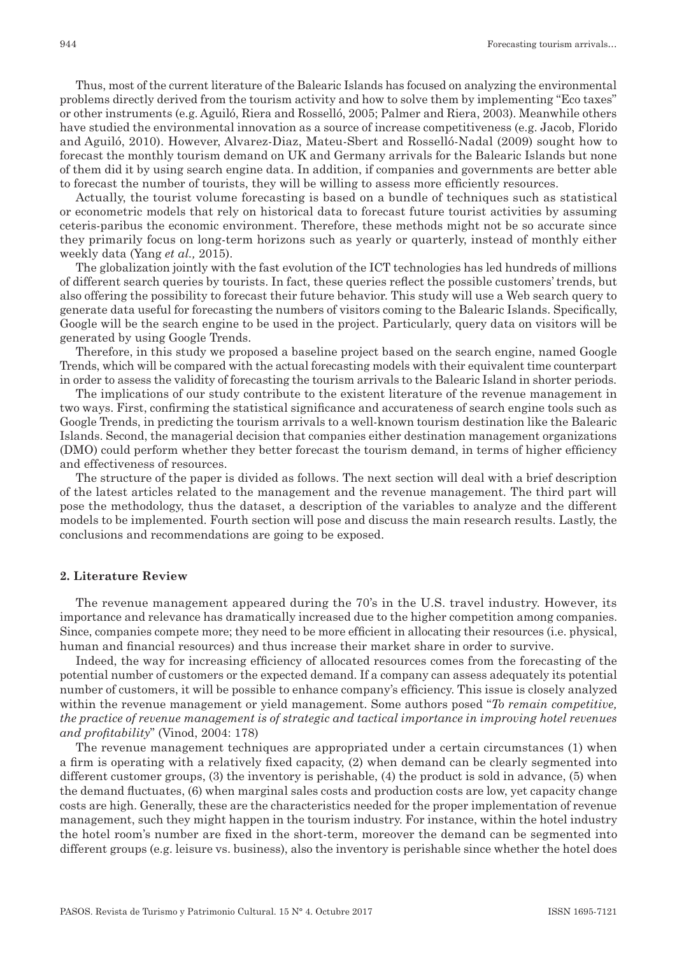Thus, most of the current literature of the Balearic Islands has focused on analyzing the environmental problems directly derived from the tourism activity and how to solve them by implementing "Eco taxes" or other instruments (e.g. Aguiló, Riera and Rosselló, 2005; Palmer and Riera, 2003). Meanwhile others have studied the environmental innovation as a source of increase competitiveness (e.g. Jacob, Florido and Aguiló, 2010). However, Alvarez-Diaz, Mateu-Sbert and Rosselló-Nadal (2009) sought how to forecast the monthly tourism demand on UK and Germany arrivals for the Balearic Islands but none of them did it by using search engine data. In addition, if companies and governments are better able to forecast the number of tourists, they will be willing to assess more efficiently resources.

Actually, the tourist volume forecasting is based on a bundle of techniques such as statistical or econometric models that rely on historical data to forecast future tourist activities by assuming ceteris-paribus the economic environment. Therefore, these methods might not be so accurate since they primarily focus on long-term horizons such as yearly or quarterly, instead of monthly either weekly data (Yang *et al.,* 2015).

The globalization jointly with the fast evolution of the ICT technologies has led hundreds of millions of different search queries by tourists. In fact, these queries reflect the possible customers' trends, but also offering the possibility to forecast their future behavior. This study will use a Web search query to generate data useful for forecasting the numbers of visitors coming to the Balearic Islands. Specifically, Google will be the search engine to be used in the project. Particularly, query data on visitors will be generated by using Google Trends.

Therefore, in this study we proposed a baseline project based on the search engine, named Google Trends, which will be compared with the actual forecasting models with their equivalent time counterpart in order to assess the validity of forecasting the tourism arrivals to the Balearic Island in shorter periods.

The implications of our study contribute to the existent literature of the revenue management in two ways. First, confirming the statistical significance and accurateness of search engine tools such as Google Trends, in predicting the tourism arrivals to a well-known tourism destination like the Balearic Islands. Second, the managerial decision that companies either destination management organizations (DMO) could perform whether they better forecast the tourism demand, in terms of higher efficiency and effectiveness of resources.

The structure of the paper is divided as follows. The next section will deal with a brief description of the latest articles related to the management and the revenue management. The third part will pose the methodology, thus the dataset, a description of the variables to analyze and the different models to be implemented. Fourth section will pose and discuss the main research results. Lastly, the conclusions and recommendations are going to be exposed.

#### **2. Literature Review**

The revenue management appeared during the 70's in the U.S. travel industry. However, its importance and relevance has dramatically increased due to the higher competition among companies. Since, companies compete more; they need to be more efficient in allocating their resources (i.e. physical, human and financial resources) and thus increase their market share in order to survive.

Indeed, the way for increasing efficiency of allocated resources comes from the forecasting of the potential number of customers or the expected demand. If a company can assess adequately its potential number of customers, it will be possible to enhance company's efficiency. This issue is closely analyzed within the revenue management or yield management. Some authors posed "*To remain competitive, the practice of revenue management is of strategic and tactical importance in improving hotel revenues and profitability*" (Vinod, 2004: 178)

The revenue management techniques are appropriated under a certain circumstances (1) when a firm is operating with a relatively fixed capacity, (2) when demand can be clearly segmented into different customer groups, (3) the inventory is perishable, (4) the product is sold in advance, (5) when the demand fluctuates, (6) when marginal sales costs and production costs are low, yet capacity change costs are high. Generally, these are the characteristics needed for the proper implementation of revenue management, such they might happen in the tourism industry. For instance, within the hotel industry the hotel room's number are fixed in the short-term, moreover the demand can be segmented into different groups (e.g. leisure vs. business), also the inventory is perishable since whether the hotel does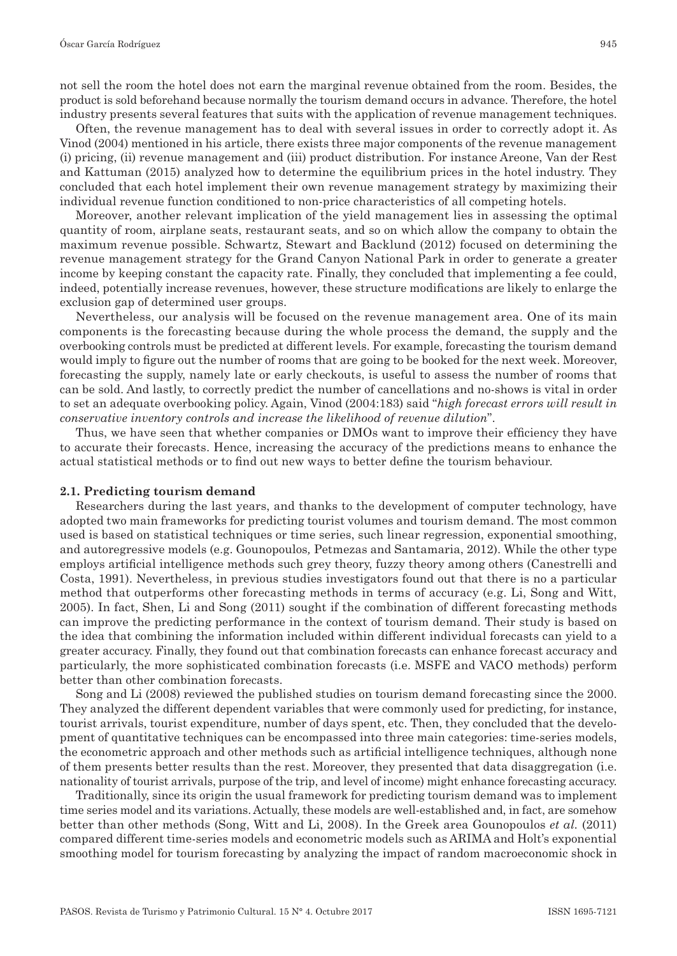not sell the room the hotel does not earn the marginal revenue obtained from the room. Besides, the product is sold beforehand because normally the tourism demand occurs in advance. Therefore, the hotel industry presents several features that suits with the application of revenue management techniques.

Often, the revenue management has to deal with several issues in order to correctly adopt it. As Vinod (2004) mentioned in his article, there exists three major components of the revenue management (i) pricing, (ii) revenue management and (iii) product distribution. For instance Areone, Van der Rest and Kattuman (2015) analyzed how to determine the equilibrium prices in the hotel industry. They concluded that each hotel implement their own revenue management strategy by maximizing their individual revenue function conditioned to non-price characteristics of all competing hotels.

Moreover, another relevant implication of the yield management lies in assessing the optimal quantity of room, airplane seats, restaurant seats, and so on which allow the company to obtain the maximum revenue possible. Schwartz, Stewart and Backlund (2012) focused on determining the revenue management strategy for the Grand Canyon National Park in order to generate a greater income by keeping constant the capacity rate. Finally, they concluded that implementing a fee could, indeed, potentially increase revenues, however, these structure modifications are likely to enlarge the exclusion gap of determined user groups.

Nevertheless, our analysis will be focused on the revenue management area. One of its main components is the forecasting because during the whole process the demand, the supply and the overbooking controls must be predicted at different levels. For example, forecasting the tourism demand would imply to figure out the number of rooms that are going to be booked for the next week. Moreover, forecasting the supply, namely late or early checkouts, is useful to assess the number of rooms that can be sold. And lastly, to correctly predict the number of cancellations and no-shows is vital in order to set an adequate overbooking policy. Again, Vinod (2004:183) said "*high forecast errors will result in conservative inventory controls and increase the likelihood of revenue dilution*".

Thus, we have seen that whether companies or DMOs want to improve their efficiency they have to accurate their forecasts. Hence, increasing the accuracy of the predictions means to enhance the actual statistical methods or to find out new ways to better define the tourism behaviour.

#### **2.1. Predicting tourism demand**

Researchers during the last years, and thanks to the development of computer technology, have adopted two main frameworks for predicting tourist volumes and tourism demand. The most common used is based on statistical techniques or time series, such linear regression, exponential smoothing, and autoregressive models (e.g. Gounopoulos*,* Petmezas and Santamaria, 2012). While the other type employs artificial intelligence methods such grey theory, fuzzy theory among others (Canestrelli and Costa, 1991). Nevertheless, in previous studies investigators found out that there is no a particular method that outperforms other forecasting methods in terms of accuracy (e.g. Li, Song and Witt, 2005). In fact, Shen, Li and Song (2011) sought if the combination of different forecasting methods can improve the predicting performance in the context of tourism demand. Their study is based on the idea that combining the information included within different individual forecasts can yield to a greater accuracy. Finally, they found out that combination forecasts can enhance forecast accuracy and particularly, the more sophisticated combination forecasts (i.e. MSFE and VACO methods) perform better than other combination forecasts.

Song and Li (2008) reviewed the published studies on tourism demand forecasting since the 2000. They analyzed the different dependent variables that were commonly used for predicting, for instance, tourist arrivals, tourist expenditure, number of days spent, etc. Then, they concluded that the development of quantitative techniques can be encompassed into three main categories: time-series models, the econometric approach and other methods such as artificial intelligence techniques, although none of them presents better results than the rest. Moreover, they presented that data disaggregation (i.e. nationality of tourist arrivals, purpose of the trip, and level of income) might enhance forecasting accuracy.

Traditionally, since its origin the usual framework for predicting tourism demand was to implement time series model and its variations. Actually, these models are well-established and, in fact, are somehow better than other methods (Song, Witt and Li, 2008). In the Greek area Gounopoulos *et al.* (2011) compared different time-series models and econometric models such as ARIMA and Holt's exponential smoothing model for tourism forecasting by analyzing the impact of random macroeconomic shock in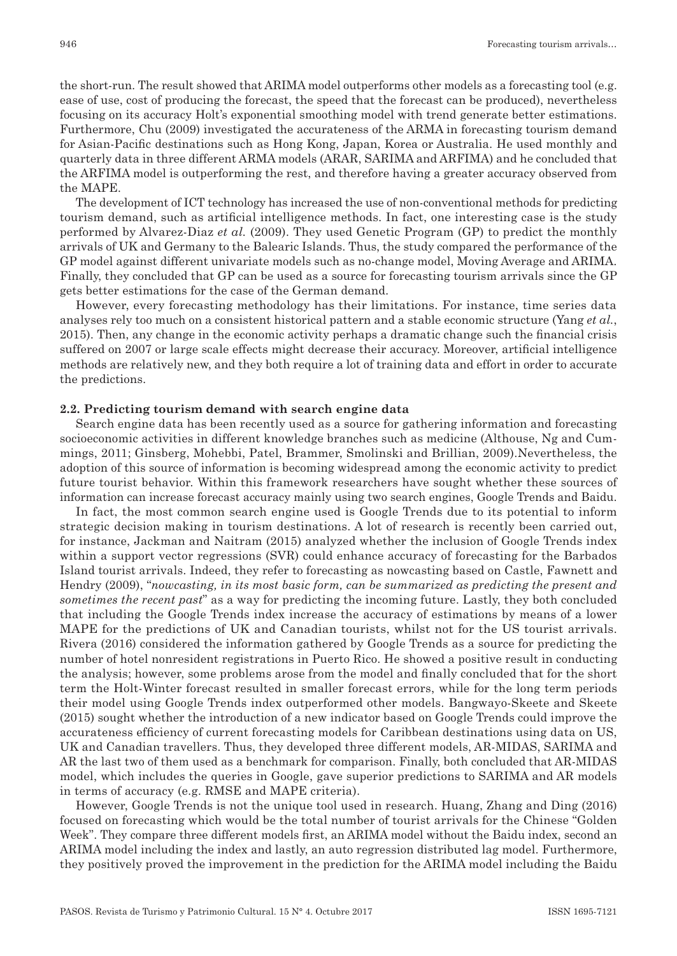the short-run. The result showed that ARIMA model outperforms other models as a forecasting tool (e.g. ease of use, cost of producing the forecast, the speed that the forecast can be produced), nevertheless focusing on its accuracy Holt's exponential smoothing model with trend generate better estimations. Furthermore, Chu (2009) investigated the accurateness of the ARMA in forecasting tourism demand for Asian-Pacific destinations such as Hong Kong, Japan, Korea or Australia. He used monthly and quarterly data in three different ARMA models (ARAR, SARIMA and ARFIMA) and he concluded that the ARFIMA model is outperforming the rest, and therefore having a greater accuracy observed from the MAPE.

The development of ICT technology has increased the use of non-conventional methods for predicting tourism demand, such as artificial intelligence methods. In fact, one interesting case is the study performed by Alvarez-Diaz *et al.* (2009). They used Genetic Program (GP) to predict the monthly arrivals of UK and Germany to the Balearic Islands. Thus, the study compared the performance of the GP model against different univariate models such as no-change model, Moving Average and ARIMA. Finally, they concluded that GP can be used as a source for forecasting tourism arrivals since the GP gets better estimations for the case of the German demand.

However, every forecasting methodology has their limitations. For instance, time series data analyses rely too much on a consistent historical pattern and a stable economic structure (Yang *et al.*, 2015). Then, any change in the economic activity perhaps a dramatic change such the financial crisis suffered on 2007 or large scale effects might decrease their accuracy. Moreover, artificial intelligence methods are relatively new, and they both require a lot of training data and effort in order to accurate the predictions.

#### **2.2. Predicting tourism demand with search engine data**

Search engine data has been recently used as a source for gathering information and forecasting socioeconomic activities in different knowledge branches such as medicine (Althouse, Ng and Cummings, 2011; Ginsberg, Mohebbi, Patel, Brammer, Smolinski and Brillian, 2009).Nevertheless, the adoption of this source of information is becoming widespread among the economic activity to predict future tourist behavior. Within this framework researchers have sought whether these sources of information can increase forecast accuracy mainly using two search engines, Google Trends and Baidu.

In fact, the most common search engine used is Google Trends due to its potential to inform strategic decision making in tourism destinations. A lot of research is recently been carried out, for instance, Jackman and Naitram (2015) analyzed whether the inclusion of Google Trends index within a support vector regressions (SVR) could enhance accuracy of forecasting for the Barbados Island tourist arrivals. Indeed, they refer to forecasting as nowcasting based on Castle, Fawnett and Hendry (2009), "*nowcasting, in its most basic form, can be summarized as predicting the present and sometimes the recent past*" as a way for predicting the incoming future. Lastly, they both concluded that including the Google Trends index increase the accuracy of estimations by means of a lower MAPE for the predictions of UK and Canadian tourists, whilst not for the US tourist arrivals. Rivera (2016) considered the information gathered by Google Trends as a source for predicting the number of hotel nonresident registrations in Puerto Rico. He showed a positive result in conducting the analysis; however, some problems arose from the model and finally concluded that for the short term the Holt-Winter forecast resulted in smaller forecast errors, while for the long term periods their model using Google Trends index outperformed other models. Bangwayo-Skeete and Skeete (2015) sought whether the introduction of a new indicator based on Google Trends could improve the accurateness efficiency of current forecasting models for Caribbean destinations using data on US, UK and Canadian travellers. Thus, they developed three different models, AR-MIDAS, SARIMA and AR the last two of them used as a benchmark for comparison. Finally, both concluded that AR-MIDAS model, which includes the queries in Google, gave superior predictions to SARIMA and AR models in terms of accuracy (e.g. RMSE and MAPE criteria).

However, Google Trends is not the unique tool used in research. Huang, Zhang and Ding (2016) focused on forecasting which would be the total number of tourist arrivals for the Chinese "Golden Week". They compare three different models first, an ARIMA model without the Baidu index, second an ARIMA model including the index and lastly, an auto regression distributed lag model. Furthermore, they positively proved the improvement in the prediction for the ARIMA model including the Baidu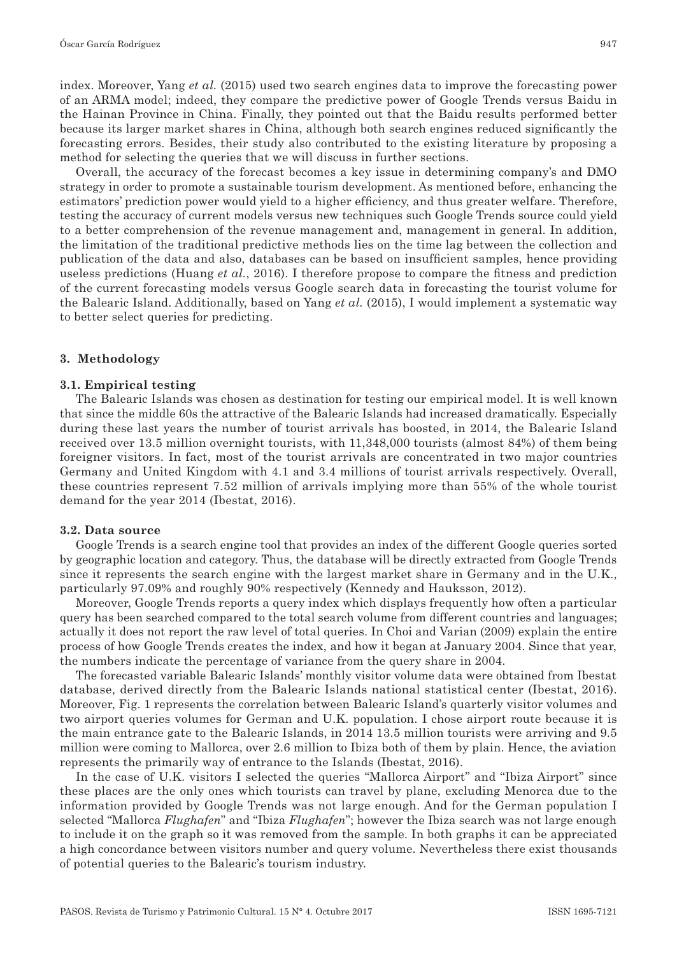index. Moreover, Yang *et al.* (2015) used two search engines data to improve the forecasting power of an ARMA model; indeed, they compare the predictive power of Google Trends versus Baidu in the Hainan Province in China. Finally, they pointed out that the Baidu results performed better because its larger market shares in China, although both search engines reduced significantly the forecasting errors. Besides, their study also contributed to the existing literature by proposing a method for selecting the queries that we will discuss in further sections.

Overall, the accuracy of the forecast becomes a key issue in determining company's and DMO strategy in order to promote a sustainable tourism development. As mentioned before, enhancing the estimators' prediction power would yield to a higher efficiency, and thus greater welfare. Therefore, testing the accuracy of current models versus new techniques such Google Trends source could yield to a better comprehension of the revenue management and, management in general. In addition, the limitation of the traditional predictive methods lies on the time lag between the collection and publication of the data and also, databases can be based on insufficient samples, hence providing useless predictions (Huang *et al.*, 2016). I therefore propose to compare the fitness and prediction of the current forecasting models versus Google search data in forecasting the tourist volume for the Balearic Island. Additionally, based on Yang *et al.* (2015), I would implement a systematic way to better select queries for predicting.

#### **3. Methodology**

#### **3.1. Empirical testing**

The Balearic Islands was chosen as destination for testing our empirical model. It is well known that since the middle 60s the attractive of the Balearic Islands had increased dramatically. Especially during these last years the number of tourist arrivals has boosted, in 2014, the Balearic Island received over 13.5 million overnight tourists, with 11,348,000 tourists (almost 84%) of them being foreigner visitors. In fact, most of the tourist arrivals are concentrated in two major countries Germany and United Kingdom with 4.1 and 3.4 millions of tourist arrivals respectively. Overall, these countries represent 7.52 million of arrivals implying more than 55% of the whole tourist demand for the year 2014 (Ibestat, 2016).

#### **3.2. Data source**

Google Trends is a search engine tool that provides an index of the different Google queries sorted by geographic location and category. Thus, the database will be directly extracted from Google Trends since it represents the search engine with the largest market share in Germany and in the U.K., particularly 97.09% and roughly 90% respectively (Kennedy and Hauksson, 2012).

Moreover, Google Trends reports a query index which displays frequently how often a particular query has been searched compared to the total search volume from different countries and languages; actually it does not report the raw level of total queries. In Choi and Varian (2009) explain the entire process of how Google Trends creates the index, and how it began at January 2004. Since that year, the numbers indicate the percentage of variance from the query share in 2004.

The forecasted variable Balearic Islands' monthly visitor volume data were obtained from Ibestat database, derived directly from the Balearic Islands national statistical center (Ibestat, 2016). Moreover, Fig. 1 represents the correlation between Balearic Island's quarterly visitor volumes and two airport queries volumes for German and U.K. population. I chose airport route because it is the main entrance gate to the Balearic Islands, in 2014 13.5 million tourists were arriving and 9.5 million were coming to Mallorca, over 2.6 million to Ibiza both of them by plain. Hence, the aviation represents the primarily way of entrance to the Islands (Ibestat, 2016).

In the case of U.K. visitors I selected the queries "Mallorca Airport" and "Ibiza Airport" since these places are the only ones which tourists can travel by plane, excluding Menorca due to the information provided by Google Trends was not large enough. And for the German population I selected "Mallorca *Flughafen*" and "Ibiza *Flughafen*"; however the Ibiza search was not large enough to include it on the graph so it was removed from the sample. In both graphs it can be appreciated a high concordance between visitors number and query volume. Nevertheless there exist thousands of potential queries to the Balearic's tourism industry.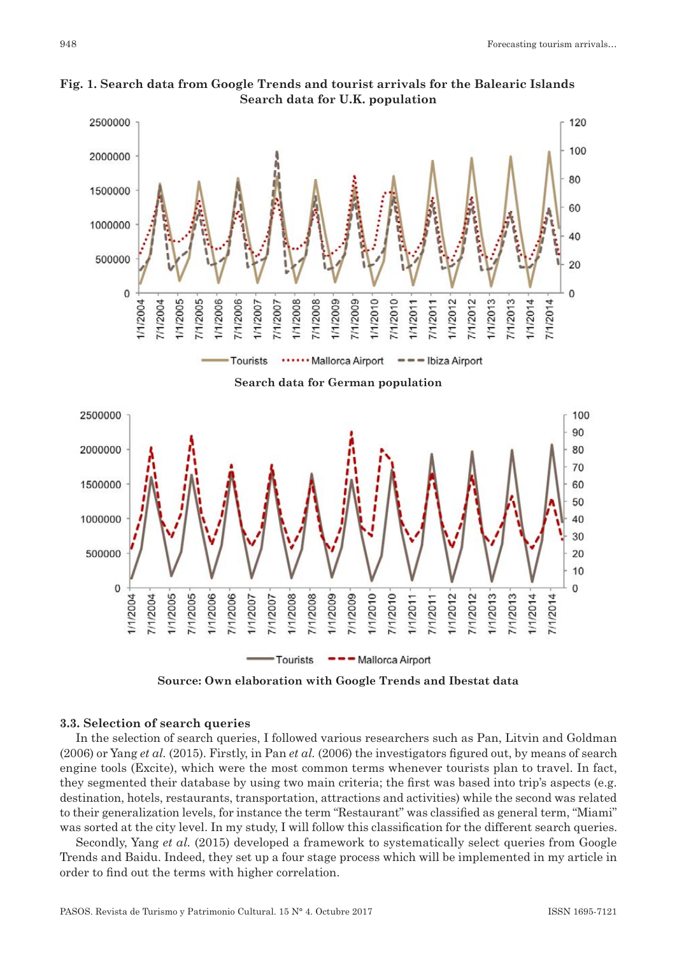

**Fig. 1. Search data from Google Trends and tourist arrivals for the Balearic Islands Search data for U.K. population**

**Source: Own elaboration with Google Trends and Ibestat data**

## **3.3. Selection of search queries**

In the selection of search queries, I followed various researchers such as Pan, Litvin and Goldman (2006) or Yang *et al.* (2015). Firstly, in Pan *et al.* (2006) the investigators figured out, by means of search engine tools (Excite), which were the most common terms whenever tourists plan to travel. In fact, they segmented their database by using two main criteria; the first was based into trip's aspects (e.g. destination, hotels, restaurants, transportation, attractions and activities) while the second was related to their generalization levels, for instance the term "Restaurant" was classified as general term, "Miami" was sorted at the city level. In my study, I will follow this classification for the different search queries.

Secondly, Yang *et al.* (2015) developed a framework to systematically select queries from Google Trends and Baidu. Indeed, they set up a four stage process which will be implemented in my article in order to find out the terms with higher correlation.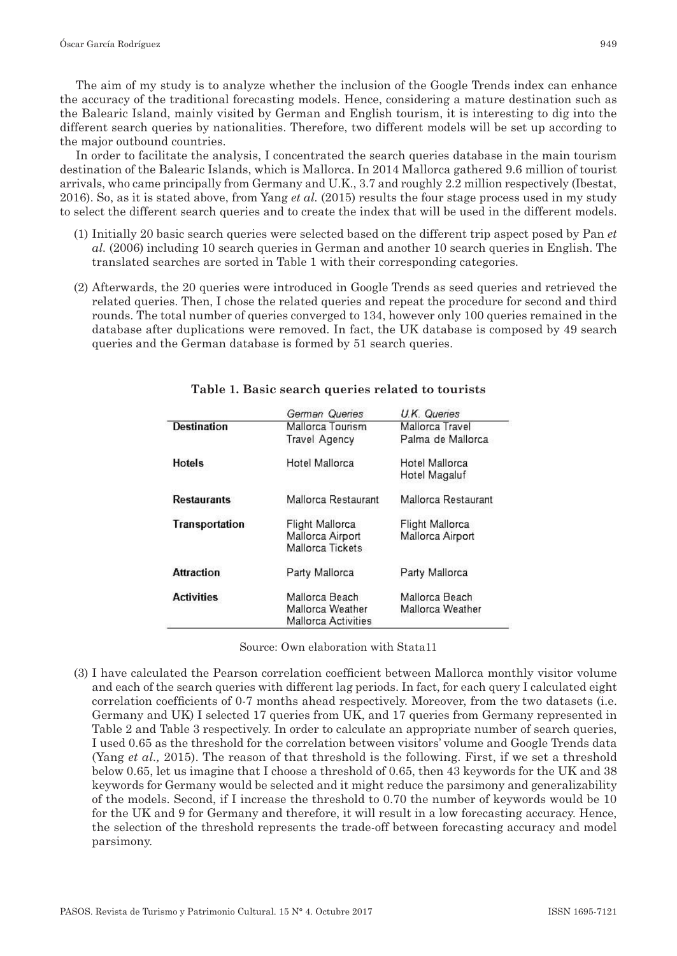The aim of my study is to analyze whether the inclusion of the Google Trends index can enhance the accuracy of the traditional forecasting models. Hence, considering a mature destination such as the Balearic Island, mainly visited by German and English tourism, it is interesting to dig into the different search queries by nationalities. Therefore, two different models will be set up according to the major outbound countries.

In order to facilitate the analysis, I concentrated the search queries database in the main tourism destination of the Balearic Islands, which is Mallorca. In 2014 Mallorca gathered 9.6 million of tourist arrivals, who came principally from Germany and U.K., 3.7 and roughly 2.2 million respectively (Ibestat, 2016). So, as it is stated above, from Yang *et al.* (2015) results the four stage process used in my study to select the different search queries and to create the index that will be used in the different models.

- (1) Initially 20 basic search queries were selected based on the different trip aspect posed by Pan *et al.* (2006) including 10 search queries in German and another 10 search queries in English. The translated searches are sorted in Table 1 with their corresponding categories.
- (2) Afterwards, the 20 queries were introduced in Google Trends as seed queries and retrieved the related queries. Then, I chose the related queries and repeat the procedure for second and third rounds. The total number of queries converged to 134, however only 100 queries remained in the database after duplications were removed. In fact, the UK database is composed by 49 search queries and the German database is formed by 51 search queries.

|                    | German Queries                       | U.K. Queries        |
|--------------------|--------------------------------------|---------------------|
| <b>Destination</b> | Mallorca Tourism                     | Mallorca Travel     |
|                    | <b>Travel Agency</b>                 | Palma de Mallorca   |
| <b>Hotels</b>      | Hotel Mallorca                       | Hotel Mallorca      |
|                    |                                      | Hotel Magaluf       |
| <b>Restaurants</b> | Mallorca Restaurant                  | Mallorca Restaurant |
| Transportation     | Flight Mallorca                      | Flight Mallorca     |
|                    | Mallorca Airport<br>Mallorca Tickets | Mallorca Airport    |
| <b>Attraction</b>  | Party Mallorca                       | Party Mallorca      |
| <b>Activities</b>  | Mallorca Beach                       | Mallorca Beach      |
|                    | Mallorca Weather                     | Mallorca Weather    |
|                    | Mallorca Activities                  |                     |

## **Table 1. Basic search queries related to tourists**

Source: Own elaboration with Stata11

(3) I have calculated the Pearson correlation coefficient between Mallorca monthly visitor volume and each of the search queries with different lag periods. In fact, for each query I calculated eight correlation coefficients of 0-7 months ahead respectively. Moreover, from the two datasets (i.e. Germany and UK) I selected 17 queries from UK, and 17 queries from Germany represented in Table 2 and Table 3 respectively. In order to calculate an appropriate number of search queries, I used 0.65 as the threshold for the correlation between visitors' volume and Google Trends data (Yang *et al.,* 2015). The reason of that threshold is the following. First, if we set a threshold below 0.65, let us imagine that I choose a threshold of 0.65, then 43 keywords for the UK and 38 keywords for Germany would be selected and it might reduce the parsimony and generalizability of the models. Second, if I increase the threshold to 0.70 the number of keywords would be 10 for the UK and 9 for Germany and therefore, it will result in a low forecasting accuracy. Hence, the selection of the threshold represents the trade-off between forecasting accuracy and model parsimony.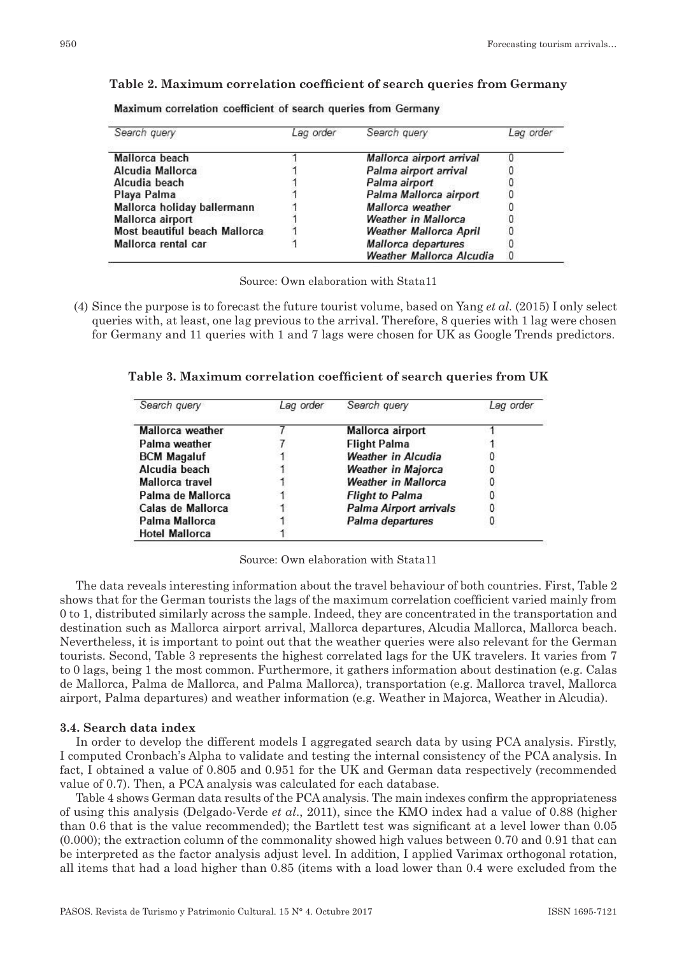#### **Table 2. Maximum correlation coefficient of search queries from Germany**

Maximum correlation coefficient of search queries from Germany

| Search query                  | Lag order | Search query                    | Lag order |
|-------------------------------|-----------|---------------------------------|-----------|
| Mallorca beach                |           | Mallorca airport arrival        |           |
| Alcudia Mallorca              |           | Palma airport arrival           |           |
| Alcudia beach                 |           | Palma airport                   |           |
| Playa Palma                   |           | Palma Mallorca airport          |           |
| Mallorca holiday ballermann   |           | Mallorca weather                |           |
| Mallorca airport              |           | <b>Weather in Mallorca</b>      |           |
| Most beautiful beach Mallorca |           | <b>Weather Mallorca April</b>   |           |
| Mallorca rental car           |           | Mallorca departures             |           |
|                               |           | <b>Weather Mallorca Alcudia</b> | 0         |

Source: Own elaboration with Stata11

(4) Since the purpose is to forecast the future tourist volume, based on Yang *et al.* (2015) I only select queries with, at least, one lag previous to the arrival. Therefore, 8 queries with 1 lag were chosen for Germany and 11 queries with 1 and 7 lags were chosen for UK as Google Trends predictors.

**Table 3. Maximum correlation coefficient of search queries from UK**

| Search query          | Lag order | Search query               | Lag order |
|-----------------------|-----------|----------------------------|-----------|
| Mallorca weather      |           | Mallorca airport           |           |
| Palma weather         |           | <b>Flight Palma</b>        |           |
| <b>BCM Magaluf</b>    |           | <b>Weather in Alcudia</b>  |           |
| Alcudia beach         |           | <b>Weather in Majorca</b>  |           |
| Mallorca travel       |           | <b>Weather in Mallorca</b> |           |
| Palma de Mallorca     |           | <b>Flight to Palma</b>     |           |
| Calas de Mallorca     |           | Palma Airport arrivals     |           |
| Palma Mallorca        |           | Palma departures           |           |
| <b>Hotel Mallorca</b> |           |                            |           |

Source: Own elaboration with Stata11

The data reveals interesting information about the travel behaviour of both countries. First, Table 2 shows that for the German tourists the lags of the maximum correlation coefficient varied mainly from 0 to 1, distributed similarly across the sample. Indeed, they are concentrated in the transportation and destination such as Mallorca airport arrival, Mallorca departures, Alcudia Mallorca, Mallorca beach. Nevertheless, it is important to point out that the weather queries were also relevant for the German tourists. Second, Table 3 represents the highest correlated lags for the UK travelers. It varies from 7 to 0 lags, being 1 the most common. Furthermore, it gathers information about destination (e.g. Calas de Mallorca, Palma de Mallorca, and Palma Mallorca), transportation (e.g. Mallorca travel, Mallorca airport, Palma departures) and weather information (e.g. Weather in Majorca, Weather in Alcudia).

## **3.4. Search data index**

In order to develop the different models I aggregated search data by using PCA analysis. Firstly, I computed Cronbach's Alpha to validate and testing the internal consistency of the PCA analysis. In fact, I obtained a value of 0.805 and 0.951 for the UK and German data respectively (recommended value of 0.7). Then, a PCA analysis was calculated for each database.

Table 4 shows German data results of the PCA analysis. The main indexes confirm the appropriateness of using this analysis (Delgado-Verde *et al*., 2011), since the KMO index had a value of 0.88 (higher than 0.6 that is the value recommended); the Bartlett test was significant at a level lower than 0.05 (0.000); the extraction column of the commonality showed high values between 0.70 and 0.91 that can be interpreted as the factor analysis adjust level. In addition, I applied Varimax orthogonal rotation, all items that had a load higher than 0.85 (items with a load lower than 0.4 were excluded from the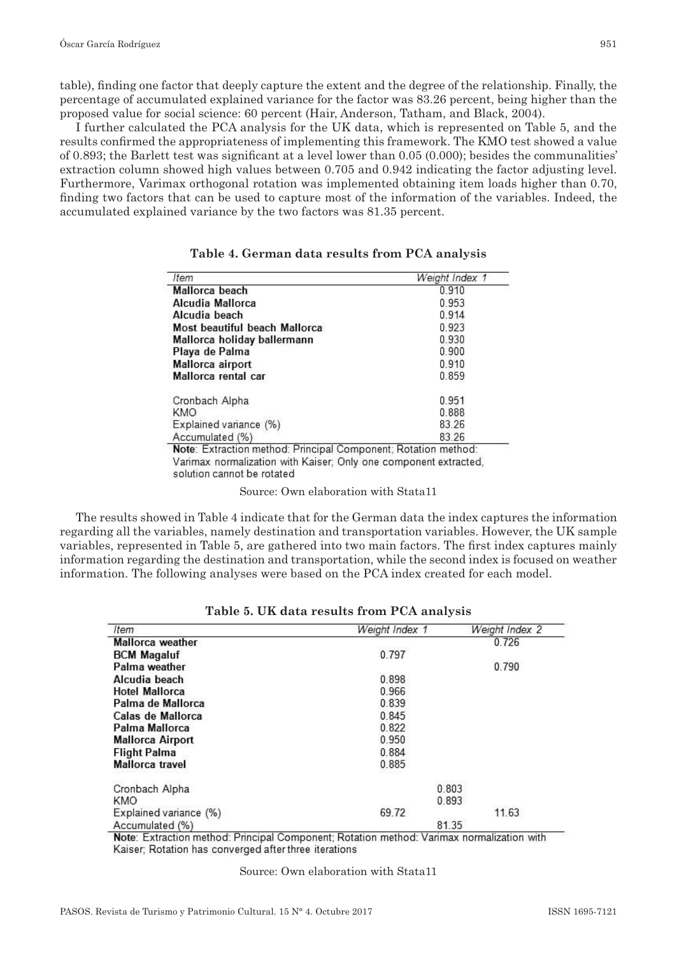table), finding one factor that deeply capture the extent and the degree of the relationship. Finally, the percentage of accumulated explained variance for the factor was 83.26 percent, being higher than the proposed value for social science: 60 percent (Hair, Anderson, Tatham, and Black, 2004).

I further calculated the PCA analysis for the UK data, which is represented on Table 5, and the results confirmed the appropriateness of implementing this framework. The KMO test showed a value of 0.893; the Barlett test was significant at a level lower than 0.05 (0.000); besides the communalities' extraction column showed high values between 0.705 and 0.942 indicating the factor adjusting level. Furthermore, Varimax orthogonal rotation was implemented obtaining item loads higher than 0.70, finding two factors that can be used to capture most of the information of the variables. Indeed, the accumulated explained variance by the two factors was 81.35 percent.

| Item                                                                                                                                                             | Weight Index 1 |
|------------------------------------------------------------------------------------------------------------------------------------------------------------------|----------------|
| Mallorca beach                                                                                                                                                   | 0.910          |
| Alcudia Mallorca                                                                                                                                                 | 0 953          |
| Alcudia beach                                                                                                                                                    | 0.914          |
| Most beautiful beach Mallorca                                                                                                                                    | 0.923          |
| Mallorca holiday ballermann                                                                                                                                      | 0.930          |
| Playa de Palma                                                                                                                                                   | 0.900          |
| Mallorca airport                                                                                                                                                 | 0.910          |
| Mallorca rental car                                                                                                                                              | 0.859          |
| Cronbach Alpha                                                                                                                                                   | 0.951          |
| KMO                                                                                                                                                              | 0.888          |
| Explained variance (%)                                                                                                                                           | 83 26          |
| Accumulated (%)                                                                                                                                                  | 83.26          |
| Note: Extraction method: Principal Component; Rotation method:<br>Varimax normalization with Kaiser, Only one component extracted,<br>solution cannot be rotated |                |

|  |  | Table 4. German data results from PCA analysis |  |  |
|--|--|------------------------------------------------|--|--|
|--|--|------------------------------------------------|--|--|

Source: Own elaboration with Stata11

The results showed in Table 4 indicate that for the German data the index captures the information regarding all the variables, namely destination and transportation variables. However, the UK sample variables, represented in Table 5, are gathered into two main factors. The first index captures mainly information regarding the destination and transportation, while the second index is focused on weather information. The following analyses were based on the PCA index created for each model.

| Item                    | Weight Index 1 | Weight Index 2 |
|-------------------------|----------------|----------------|
| Mallorca weather        |                | 0.726          |
| <b>BCM Magaluf</b>      | 0.797          |                |
| Palma weather           |                | 0.790          |
| Alcudia beach           | 0.898          |                |
| <b>Hotel Mallorca</b>   | 0.966          |                |
| Palma de Mallorca       | 0.839          |                |
| Calas de Mallorca       | 0.845          |                |
| Palma Mallorca          | 0.822          |                |
| <b>Mallorca Airport</b> | 0.950          |                |
| <b>Flight Palma</b>     | 0.884          |                |
| Mallorca travel         | 0.885          |                |
| Cronbach Alpha          |                | 0.803          |
| KMO                     |                | 0.893          |
| Explained variance (%)  | 69.72          | 11.63          |
| Accumulated (%)         |                | 81.35          |

#### **Table 5. UK data results from PCA analysis**

Note: Extraction method: Principal Component: Rotation method: Varimax normalization with Kaiser, Rotation has converged after three iterations

#### Source: Own elaboration with Stata11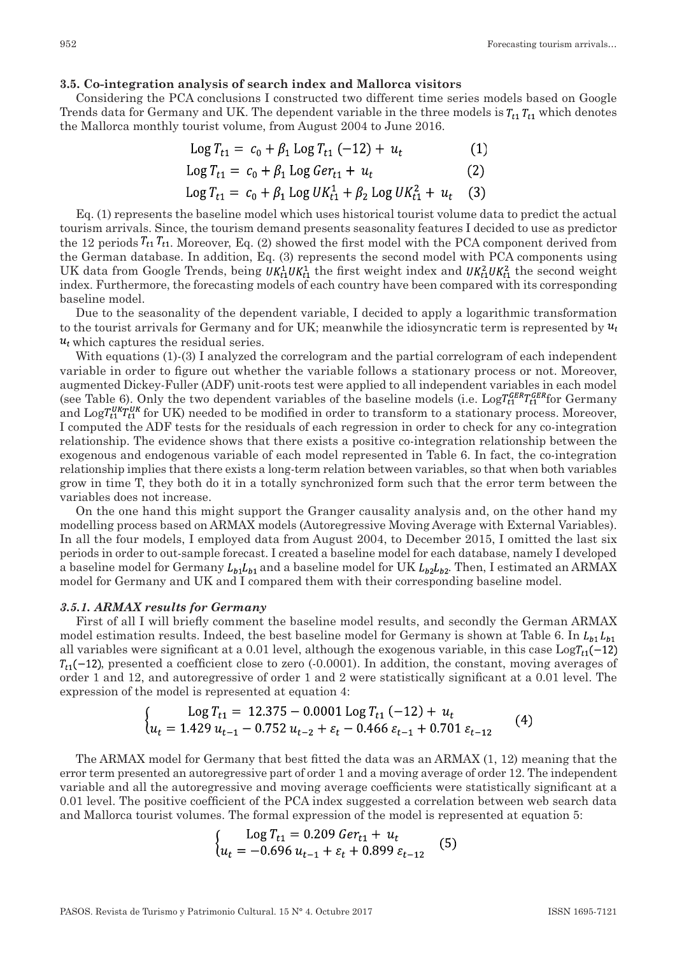#### **3.5. Co-integration analysis of search index and Mallorca visitors**

Considering the PCA conclusions I constructed two different time series models based on Google Trends data for Germany and UK. The dependent variable in the three models is  $T_{t_1}$ ,  $T_{t_1}$  which denotes the Mallorca monthly tourist volume, from August 2004 to June 2016.

$$
Log T_{t1} = c_0 + \beta_1 Log T_{t1} (-12) + u_t
$$
  
\n
$$
Log T_{t1} = c_0 + \beta_1 Log Ger_{t1} + u_t
$$
 (1)

$$
Log T_{t1} = c_0 + \beta_1 Log UK_{t1}^1 + \beta_2 Log UK_{t1}^2 + u_t \quad (3)
$$

Eq. (1) represents the baseline model which uses historical tourist volume data to predict the actual tourism arrivals. Since, the tourism demand presents seasonality features I decided to use as predictor the 12 periods  $T_{t1}$ , Moreover, Eq. (2) showed the first model with the PCA component derived from the German database. In addition, Eq. (3) represents the second model with PCA components using UK data from Google Trends, being  $UK_{t1}^1UK_{t1}^1$  the first weight index and  $UK_{t1}^2UK_{t1}^2$  the second weight index. Furthermore, the forecasting models of each country have been compared with its corresponding baseline model.

Due to the seasonality of the dependent variable, I decided to apply a logarithmic transformation to the tourist arrivals for Germany and for UK; meanwhile the idiosyncratic term is represented by  $u_t$  $u_t$  which captures the residual series.

With equations (1)-(3) I analyzed the correlogram and the partial correlogram of each independent variable in order to figure out whether the variable follows a stationary process or not. Moreover, augmented Dickey-Fuller (ADF) unit-roots test were applied to all independent variables in each model (see Table 6). Only the two dependent variables of the baseline models (i.e.  $\text{Log}T_{t1}^{GER}T_{t1}^{GER}$  for Germany and Log  $T_{t1}^{UK}T_{t1}^{UK}$  for UK) needed to be modified in order to transform to a stationary process. Moreover, I computed the ADF tests for the residuals of each regression in order to check for any co-integration relationship. The evidence shows that there exists a positive co-integration relationship between the exogenous and endogenous variable of each model represented in Table 6. In fact, the co-integration relationship implies that there exists a long-term relation between variables, so that when both variables grow in time T, they both do it in a totally synchronized form such that the error term between the variables does not increase.

On the one hand this might support the Granger causality analysis and, on the other hand my modelling process based on ARMAX models (Autoregressive Moving Average with External Variables). In all the four models, I employed data from August 2004, to December 2015, I omitted the last six periods in order to out-sample forecast. I created a baseline model for each database, namely I developed a baseline model for Germany  $L_{b1}L_{p1}$  and a baseline model for UK  $L_{b2}L_{b2}$ . Then, I estimated an ARMAX model for Germany and UK and I compared them with their corresponding baseline model.

#### *3.5.1. ARMAX results for Germany*

First of all I will briefly comment the baseline model results, and secondly the German ARMAX model estimation results. Indeed, the best baseline model for Germany is shown at Table 6. In  $L_{h1}L_{h1}$ all variables were significant at a 0.01 level, although the exogenous variable, in this case  $Log_{t_1}(-12)$  $T_{t1}(-12)$ , presented a coefficient close to zero (-0.0001). In addition, the constant, moving averages of order 1 and 12, and autoregressive of order 1 and 2 were statistically significant at a 0.01 level. The expression of the model is represented at equation 4:

$$
\begin{cases}\n\log T_{t1} = 12.375 - 0.0001 \log T_{t1} (-12) + u_t \\
u_t = 1.429 u_{t-1} - 0.752 u_{t-2} + \varepsilon_t - 0.466 \varepsilon_{t-1} + 0.701 \varepsilon_{t-12}\n\end{cases} (4)
$$

The ARMAX model for Germany that best fitted the data was an ARMAX (1, 12) meaning that the error term presented an autoregressive part of order 1 and a moving average of order 12. The independent variable and all the autoregressive and moving average coefficients were statistically significant at a 0.01 level. The positive coefficient of the PCA index suggested a correlation between web search data and Mallorca tourist volumes. The formal expression of the model is represented at equation 5:

$$
\begin{cases}\n\log T_{t1} = 0.209 \text{ G}er_{t1} + u_t \\
u_t = -0.696 \, u_{t-1} + \varepsilon_t + 0.899 \, \varepsilon_{t-12}\n\end{cases} (5)
$$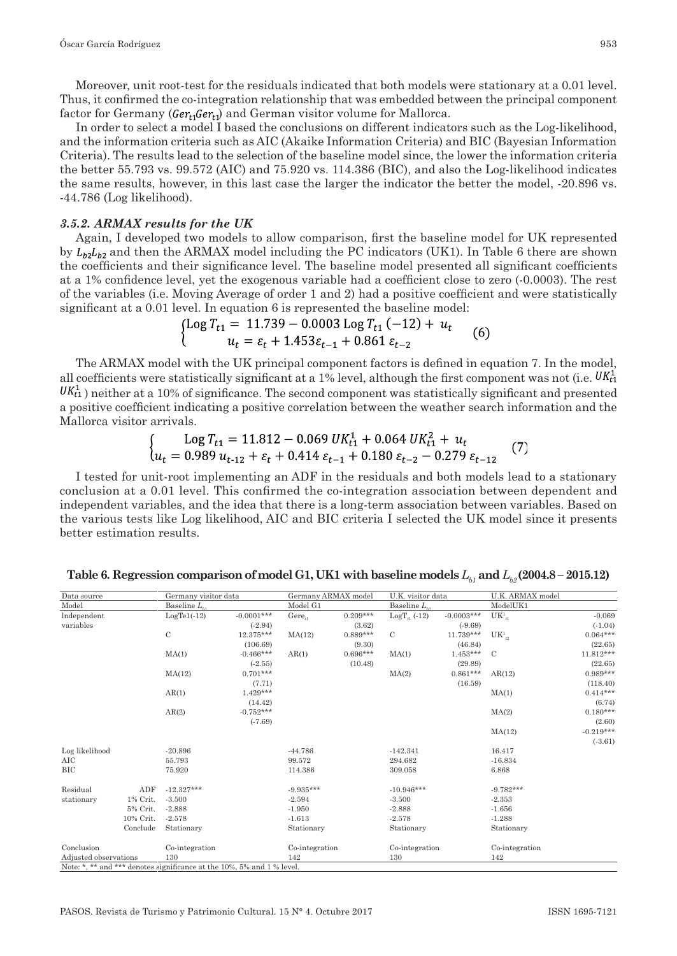Moreover, unit root-test for the residuals indicated that both models were stationary at a 0.01 level. Thus, it confirmed the co-integration relationship that was embedded between the principal component factor for Germany ( $Ger_t, Ger_t$ ) and German visitor volume for Mallorca.

In order to select a model I based the conclusions on different indicators such as the Log-likelihood, and the information criteria such as AIC (Akaike Information Criteria) and BIC (Bayesian Information Criteria). The results lead to the selection of the baseline model since, the lower the information criteria the better 55.793 vs. 99.572 (AIC) and 75.920 vs. 114.386 (BIC), and also the Log-likelihood indicates the same results, however, in this last case the larger the indicator the better the model, -20.896 vs. -44.786 (Log likelihood).

## *3.5.2. ARMAX results for the UK*

Again, I developed two models to allow comparison, first the baseline model for UK represented by  $L_{12}L_{12}$  and then the ARMAX model including the PC indicators (UK1). In Table 6 there are shown the coefficients and their significance level. The baseline model presented all significant coefficients at a 1% confidence level, yet the exogenous variable had a coefficient close to zero (-0.0003). The rest of the variables (i.e. Moving Average of order 1 and 2) had a positive coefficient and were statistically significant at a 0.01 level. In equation 6 is represented the baseline model:

$$
\begin{cases}\n\text{Log } T_{t1} = 11.739 - 0.0003 \text{ Log } T_{t1} (-12) + u_t \\
u_t = \varepsilon_t + 1.453 \varepsilon_{t-1} + 0.861 \varepsilon_{t-2}\n\end{cases} \tag{6}
$$

The ARMAX model with the UK principal component factors is defined in equation 7. In the model, all coefficients were statistically significant at a 1% level, although the first component was not (i.e.  $UK<sub>11</sub><sup>K</sup>$  $\langle U K_{t_1}^1 \rangle$  neither at a 10% of significance. The second component was statistically significant and presented a positive coefficient indicating a positive correlation between the weather search information and the Mallorca visitor arrivals.

$$
\begin{cases}\n\log T_{t1} = 11.812 - 0.069 \, UK_{t1}^1 + 0.064 \, UK_{t1}^2 + u_t \\
u_t = 0.989 \, u_{t-12} + \varepsilon_t + 0.414 \, \varepsilon_{t-1} + 0.180 \, \varepsilon_{t-2} - 0.279 \, \varepsilon_{t-12}\n\end{cases} (7)
$$

I tested for unit-root implementing an ADF in the residuals and both models lead to a stationary conclusion at a 0.01 level. This confirmed the co-integration association between dependent and independent variables, and the idea that there is a long-term association between variables. Based on the various tests like Log likelihood, AIC and BIC criteria I selected the UK model since it presents better estimation results.

| Data source           |           | Germany visitor data                                                   |              | Germany ARMAX model |            | U.K. visitor data     |              | U.K. ARMAX model |             |
|-----------------------|-----------|------------------------------------------------------------------------|--------------|---------------------|------------|-----------------------|--------------|------------------|-------------|
| Model                 |           | Baseline L.                                                            |              | Model G1            |            | Baseline $L_{\alpha}$ |              | ModelUK1         |             |
| Independent           |           | $LogTe1(-12)$                                                          | $-0.0001***$ | $Gere_{n}$          | $0.209***$ | $LogT_{c1}$ (-12)     | $-0.0003***$ | $UK1_{t1}$       | $-0.069$    |
| variables             |           |                                                                        | $(-2.94)$    |                     | (3.62)     |                       | $(-9.69)$    |                  | $(-1.04)$   |
|                       |           | $\mathbf C$                                                            | 12.375***    | MA(12)              | $0.889***$ | $\mathcal{C}$         | $11.739***$  | $UK^1_{1/2}$     | $0.064***$  |
|                       |           |                                                                        | (106.69)     |                     | (9.30)     |                       | (46.84)      |                  | (22.65)     |
|                       |           | MA(1)                                                                  | $-0.466***$  | AR(1)               | $0.696***$ | MA(1)                 | $1.453***$   | $\mathcal{C}$    | $11.812***$ |
|                       |           |                                                                        | $(-2.55)$    |                     | (10.48)    |                       | (29.89)      |                  | (22.65)     |
|                       |           | MA(12)                                                                 | $0.701***$   |                     |            | MA(2)                 | $0.861***$   | AR(12)           | $0.989***$  |
|                       |           |                                                                        | (7.71)       |                     |            |                       | (16.59)      |                  | (118.40)    |
|                       |           | AR(1)                                                                  | $1.429***$   |                     |            |                       |              | MA(1)            | $0.414***$  |
|                       |           |                                                                        | (14.42)      |                     |            |                       |              |                  | (6.74)      |
|                       |           | AR(2)                                                                  | $-0.752***$  |                     |            |                       |              | MA(2)            | $0.180***$  |
|                       |           |                                                                        | $(-7.69)$    |                     |            |                       |              |                  | (2.60)      |
|                       |           |                                                                        |              |                     |            |                       |              | MA(12)           | $-0.219***$ |
|                       |           |                                                                        |              |                     |            |                       |              |                  | $(-3.61)$   |
| Log likelihood        |           | $-20.896$                                                              |              | $-44.786$           |            | $-142.341$            |              | 16.417           |             |
| AIC                   |           | 55.793                                                                 |              | 99.572              |            | 294.682               |              | $-16.834$        |             |
| <b>BIC</b>            |           | 75.920                                                                 |              | 114.386             |            | 309.058               |              | 6.868            |             |
| Residual              | ADF       | $-12.327***$                                                           |              | $-9.935***$         |            | $-10.946***$          |              | $-9.782***$      |             |
| stationary            | 1% Crit.  | $-3.500$                                                               |              | $-2.594$            |            | $-3.500$              |              | $-2.353$         |             |
|                       | 5% Crit.  | $-2.888$                                                               |              | $-1.950$            |            | $-2.888$              |              | $-1.656$         |             |
|                       | 10% Crit. | $-2.578$                                                               |              | $-1.613$            |            | $-2.578$              |              | $-1.288$         |             |
|                       | Conclude  | Stationary                                                             |              | Stationary          |            | Stationary            |              | Stationary       |             |
| Conclusion            |           | Co-integration                                                         |              | Co-integration      |            | Co-integration        |              | Co-integration   |             |
| Adjusted observations |           | 130                                                                    |              | 142                 |            | 130                   |              | 142              |             |
|                       |           | Note: *, ** and *** denotes significance at the 10%, 5% and 1 % level. |              |                     |            |                       |              |                  |             |

**Table 6. Regression comparison of model G1, UK1 with baseline models**  $L_{b}$ **, and**  $L_{b}$  **(2004.8 – 2015.12)**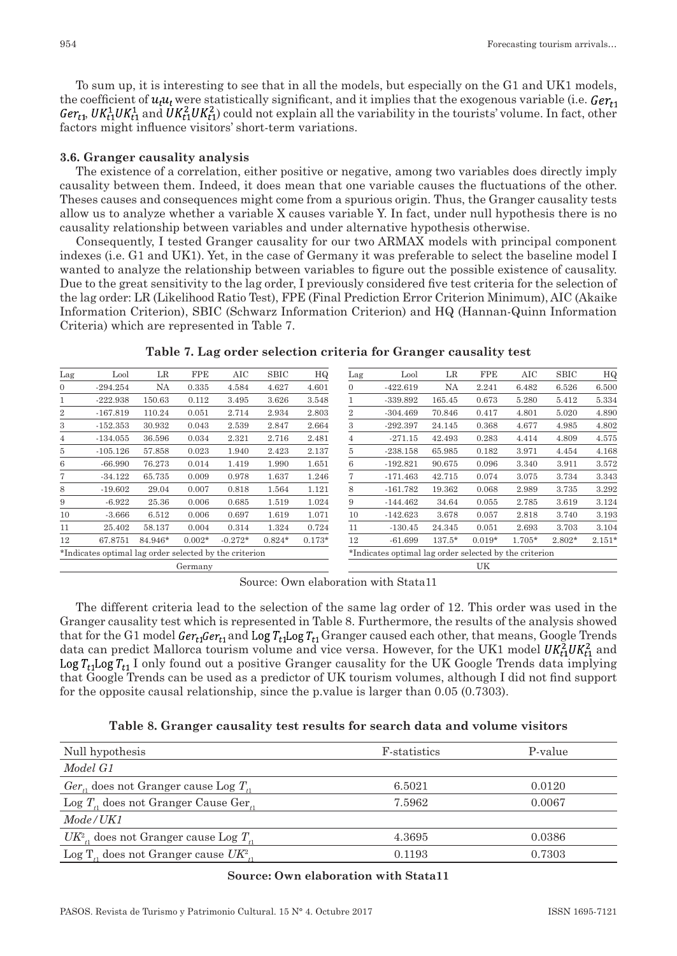To sum up, it is interesting to see that in all the models, but especially on the G1 and UK1 models, the coefficient of  $u_i u_i$ , were statistically significant, and it implies that the exogenous variable (i.e.  $Ger_{t_1}$  $Ger_{t}$ ,  $UK_{t1}^1UK_{t1}^2$  and  $UK_{t2}^2UK_{t1}^2$  could not explain all the variability in the tourists' volume. In fact, other factors might influence visitors' short-term variations.

#### **3.6. Granger causality analysis**

The existence of a correlation, either positive or negative, among two variables does directly imply causality between them. Indeed, it does mean that one variable causes the fluctuations of the other. Theses causes and consequences might come from a spurious origin. Thus, the Granger causality tests allow us to analyze whether a variable X causes variable Y. In fact, under null hypothesis there is no causality relationship between variables and under alternative hypothesis otherwise.

Consequently, I tested Granger causality for our two ARMAX models with principal component indexes (i.e. G1 and UK1). Yet, in the case of Germany it was preferable to select the baseline model I wanted to analyze the relationship between variables to figure out the possible existence of causality. Due to the great sensitivity to the lag order, I previously considered five test criteria for the selection of the lag order: LR (Likelihood Ratio Test), FPE (Final Prediction Error Criterion Minimum), AIC (Akaike Information Criterion), SBIC (Schwarz Information Criterion) and HQ (Hannan-Quinn Information Criteria) which are represented in Table 7.

| Lag            | Lool                                                   | LR        | <b>FPE</b> | AIC       | SBIC     | HQ       | Lag            | Lool                                                   | LR       | FPE      | AIC    | SBIC   | HQ       |
|----------------|--------------------------------------------------------|-----------|------------|-----------|----------|----------|----------------|--------------------------------------------------------|----------|----------|--------|--------|----------|
| $\mathbf{0}$   | $-294.254$                                             | <b>NA</b> | 0.335      | 4.584     | 4.627    | 4.601    | 0              | $-422.619$                                             | NA       | 2.241    | 6.482  | 6.526  | 6.500    |
| 1              | $-222.938$                                             | 150.63    | 0.112      | 3.495     | 3.626    | 3.548    | 1.             | -339.892                                               | 165.45   | 0.673    | 5.280  | 5.412  | 5.334    |
| $\overline{2}$ | $-167.819$                                             | 110.24    | 0.051      | 2.714     | 2.934    | 2.803    | $\overline{2}$ | $-304.469$                                             | 70.846   | 0.417    | 4.801  | 5.020  | 4.890    |
| 3              | $-152.353$                                             | 30.932    | 0.043      | 2.539     | 2.847    | 2.664    | 3              | $-292.397$                                             | 24.145   | 0.368    | 4.677  | 4.985  | 4.802    |
| 4              | $-134.055$                                             | 36.596    | 0.034      | 2.321     | 2.716    | 2.481    | 4              | $-271.15$                                              | 42.493   | 0.283    | 4.414  | 4.809  | 4.575    |
| 5.             | $-105.126$                                             | 57.858    | 0.023      | 1.940     | 2.423    | 2.137    | 5.             | $-238.158$                                             | 65.985   | 0.182    | 3.971  | 4.454  | 4.168    |
| 6              | $-66.990$                                              | 76.273    | 0.014      | 1.419     | 1.990    | 1.651    | 6              | $-192.821$                                             | 90.675   | 0.096    | 3.340  | 3.911  | 3.572    |
| 7              | $-34.122$                                              | 65.735    | 0.009      | 0.978     | 1.637    | 1.246    | 7              | $-171.463$                                             | 42.715   | 0.074    | 3.075  | 3.734  | 3.343    |
| 8              | $-19.602$                                              | 29.04     | 0.007      | 0.818     | 1.564    | 1.121    | 8              | $-161.782$                                             | 19.362   | 0.068    | 2.989  | 3.735  | 3.292    |
| 9              | $-6.922$                                               | 25.36     | 0.006      | 0.685     | 1.519    | 1.024    | 9              | $-144.462$                                             | 34.64    | 0.055    | 2.785  | 3.619  | 3.124    |
| 10             | $-3.666$                                               | 6.512     | 0.006      | 0.697     | 1.619    | 1.071    | 10             | $-142.623$                                             | 3.678    | 0.057    | 2.818  | 3.740  | 3.193    |
| 11             | 25.402                                                 | 58.137    | 0.004      | 0.314     | 1.324    | 0.724    | 11             | $-130.45$                                              | 24.345   | 0.051    | 2.693  | 3.703  | 3.104    |
| 12             | 67.8751                                                | 84.946*   | $0.002*$   | $-0.272*$ | $0.824*$ | $0.173*$ | 12             | $-61.699$                                              | $137.5*$ | $0.019*$ | 1.705* | 2.802* | $2.151*$ |
|                | *Indicates optimal lag order selected by the criterion |           |            |           |          |          |                | *Indicates optimal lag order selected by the criterion |          |          |        |        |          |
|                |                                                        |           | Germany    |           |          |          |                |                                                        |          | UK       |        |        |          |

**Table 7. Lag order selection criteria for Granger causality test**

Source: Own elaboration with Stata11

The different criteria lead to the selection of the same lag order of 12. This order was used in the Granger causality test which is represented in Table 8. Furthermore, the results of the analysis showed that for the G1 model  $Ger_{r1}Ger_{r1}$  and Log  $T_{r1}Log T_{r1}$  Granger caused each other, that means, Google Trends data can predict Mallorca tourism volume and vice versa. However, for the UK1 model  $UK<sub>t</sub><sup>2</sup> UK<sub>t1</sub><sup>2</sup>$  and Log  $T_{t1}$ Log  $T_{t1}$  I only found out a positive Granger causality for the UK Google Trends data implying that Google Trends can be used as a predictor of UK tourism volumes, although I did not find support for the opposite causal relationship, since the p.value is larger than 0.05 (0.7303).

#### **Table 8. Granger causality test results for search data and volume visitors**

| Null hypothesis                                        | F-statistics | P-value |
|--------------------------------------------------------|--------------|---------|
| Model G1                                               |              |         |
| $Ger_{\alpha}$ does not Granger cause Log $T_{\alpha}$ | 6.5021       | 0.0120  |
| Log $T_{\alpha}$ does not Granger Cause Ger.           | 7.5962       | 0.0067  |
| Mode/UK1                                               |              |         |
| $UK2$ , does not Granger cause Log $T1$                | 4.3695       | 0.0386  |
| Log $T_{\alpha}$ does not Granger cause $UK^2$ .       | 0.1193       | 0.7303  |

#### **Source: Own elaboration with Stata11**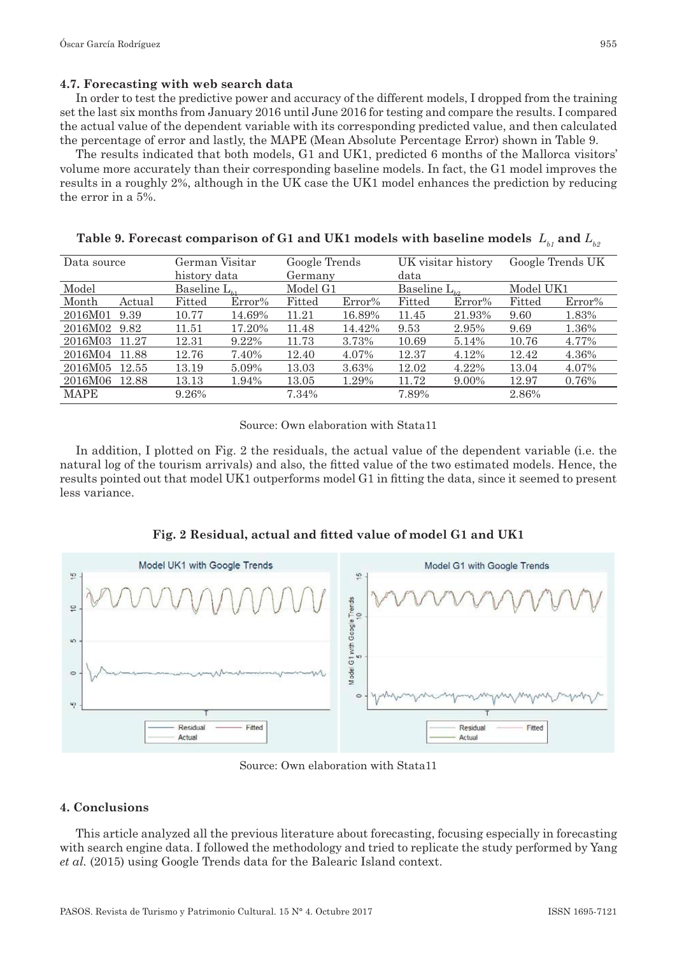## **4.7. Forecasting with web search data**

In order to test the predictive power and accuracy of the different models, I dropped from the training set the last six months from January 2016 until June 2016 for testing and compare the results. I compared the actual value of the dependent variable with its corresponding predicted value, and then calculated the percentage of error and lastly, the MAPE (Mean Absolute Percentage Error) shown in Table 9.

The results indicated that both models, G1 and UK1, predicted 6 months of the Mallorca visitors' volume more accurately than their corresponding baseline models. In fact, the G1 model improves the results in a roughly 2%, although in the UK case the UK1 model enhances the prediction by reducing the error in a 5%.

| Data source                 | German Visitar<br>Google Trends<br>UK visitar history<br>history data<br>data<br>Germany |          | Google Trends UK |        |                   |        |           |        |           |
|-----------------------------|------------------------------------------------------------------------------------------|----------|------------------|--------|-------------------|--------|-----------|--------|-----------|
| Model<br>Baseline $L_{\mu}$ |                                                                                          | Model G1 |                  |        | Baseline $L_{b2}$ |        | Model UK1 |        |           |
| Month                       | Actual                                                                                   | Fitted   | $Error\%$        | Fitted | $Error\%$         | Fitted | $Error\%$ | Fitted | $Error\%$ |
| 2016M01                     | 9.39                                                                                     | 10.77    | 14.69%           | 11.21  | 16.89%            | 11.45  | 21.93%    | 9.60   | 1.83%     |
| 2016M02                     | 9.82                                                                                     | 11.51    | 17.20%           | 11.48  | 14.42%            | 9.53   | 2.95%     | 9.69   | 1.36%     |
| 2016M03                     | 11.27                                                                                    | 12.31    | 9.22%            | 11.73  | 3.73%             | 10.69  | 5.14%     | 10.76  | 4.77%     |
| 2016M04                     | 11.88                                                                                    | 12.76    | 7.40%            | 12.40  | 4.07%             | 12.37  | 4.12%     | 12.42  | 4.36%     |
| 2016M05                     | 12.55                                                                                    | 13.19    | 5.09%            | 13.03  | 3.63%             | 12.02  | 4.22%     | 13.04  | 4.07%     |
| 2016M06                     | 12.88                                                                                    | 13.13    | 1.94%            | 13.05  | 1.29%             | 11.72  | 9.00%     | 12.97  | 0.76%     |
| MAPE                        |                                                                                          | 9.26%    |                  | 7.34%  |                   | 7.89%  |           | 2.86%  |           |

| Table 9. Forecast comparison of G1 and UK1 models with baseline models $\ L_{_{b\,I}}$ and $L_{_{b2}}$ |  |
|--------------------------------------------------------------------------------------------------------|--|
|--------------------------------------------------------------------------------------------------------|--|

Source: Own elaboration with Stata11

In addition, I plotted on Fig. 2 the residuals, the actual value of the dependent variable (i.e. the natural log of the tourism arrivals) and also, the fitted value of the two estimated models. Hence, the results pointed out that model UK1 outperforms model G1 in fitting the data, since it seemed to present less variance.





Source: Own elaboration with Stata11

## **4. Conclusions**

This article analyzed all the previous literature about forecasting, focusing especially in forecasting with search engine data. I followed the methodology and tried to replicate the study performed by Yang *et al.* (2015) using Google Trends data for the Balearic Island context.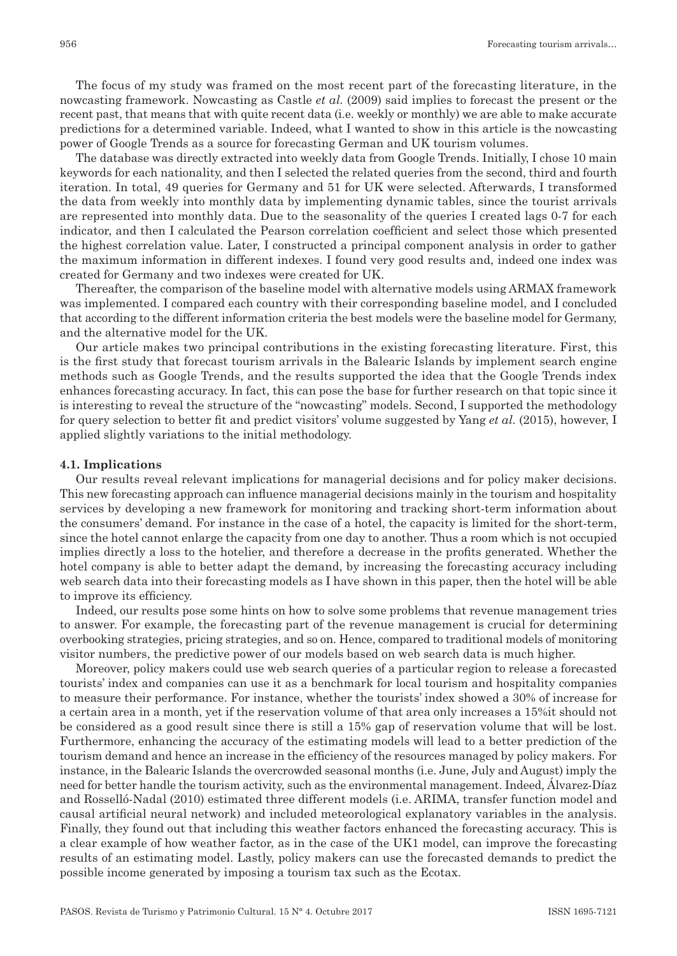The focus of my study was framed on the most recent part of the forecasting literature, in the nowcasting framework. Nowcasting as Castle *et al.* (2009) said implies to forecast the present or the recent past, that means that with quite recent data (i.e. weekly or monthly) we are able to make accurate predictions for a determined variable. Indeed, what I wanted to show in this article is the nowcasting power of Google Trends as a source for forecasting German and UK tourism volumes.

The database was directly extracted into weekly data from Google Trends. Initially, I chose 10 main keywords for each nationality, and then I selected the related queries from the second, third and fourth iteration. In total, 49 queries for Germany and 51 for UK were selected. Afterwards, I transformed the data from weekly into monthly data by implementing dynamic tables, since the tourist arrivals are represented into monthly data. Due to the seasonality of the queries I created lags 0-7 for each indicator, and then I calculated the Pearson correlation coefficient and select those which presented the highest correlation value. Later, I constructed a principal component analysis in order to gather the maximum information in different indexes. I found very good results and, indeed one index was created for Germany and two indexes were created for UK.

Thereafter, the comparison of the baseline model with alternative models using ARMAX framework was implemented. I compared each country with their corresponding baseline model, and I concluded that according to the different information criteria the best models were the baseline model for Germany, and the alternative model for the UK.

Our article makes two principal contributions in the existing forecasting literature. First, this is the first study that forecast tourism arrivals in the Balearic Islands by implement search engine methods such as Google Trends, and the results supported the idea that the Google Trends index enhances forecasting accuracy. In fact, this can pose the base for further research on that topic since it is interesting to reveal the structure of the "nowcasting" models. Second, I supported the methodology for query selection to better fit and predict visitors' volume suggested by Yang *et al.* (2015), however, I applied slightly variations to the initial methodology.

#### **4.1. Implications**

Our results reveal relevant implications for managerial decisions and for policy maker decisions. This new forecasting approach can influence managerial decisions mainly in the tourism and hospitality services by developing a new framework for monitoring and tracking short-term information about the consumers' demand. For instance in the case of a hotel, the capacity is limited for the short-term, since the hotel cannot enlarge the capacity from one day to another. Thus a room which is not occupied implies directly a loss to the hotelier, and therefore a decrease in the profits generated. Whether the hotel company is able to better adapt the demand, by increasing the forecasting accuracy including web search data into their forecasting models as I have shown in this paper, then the hotel will be able to improve its efficiency.

Indeed, our results pose some hints on how to solve some problems that revenue management tries to answer. For example, the forecasting part of the revenue management is crucial for determining overbooking strategies, pricing strategies, and so on. Hence, compared to traditional models of monitoring visitor numbers, the predictive power of our models based on web search data is much higher.

Moreover, policy makers could use web search queries of a particular region to release a forecasted tourists' index and companies can use it as a benchmark for local tourism and hospitality companies to measure their performance. For instance, whether the tourists' index showed a 30% of increase for a certain area in a month, yet if the reservation volume of that area only increases a 15%it should not be considered as a good result since there is still a 15% gap of reservation volume that will be lost. Furthermore, enhancing the accuracy of the estimating models will lead to a better prediction of the tourism demand and hence an increase in the efficiency of the resources managed by policy makers. For instance, in the Balearic Islands the overcrowded seasonal months (i.e. June, July and August) imply the need for better handle the tourism activity, such as the environmental management. Indeed, Álvarez-Díaz and Rosselló-Nadal (2010) estimated three different models (i.e. ARIMA, transfer function model and causal artificial neural network) and included meteorological explanatory variables in the analysis. Finally, they found out that including this weather factors enhanced the forecasting accuracy. This is a clear example of how weather factor, as in the case of the UK1 model, can improve the forecasting results of an estimating model. Lastly, policy makers can use the forecasted demands to predict the possible income generated by imposing a tourism tax such as the Ecotax.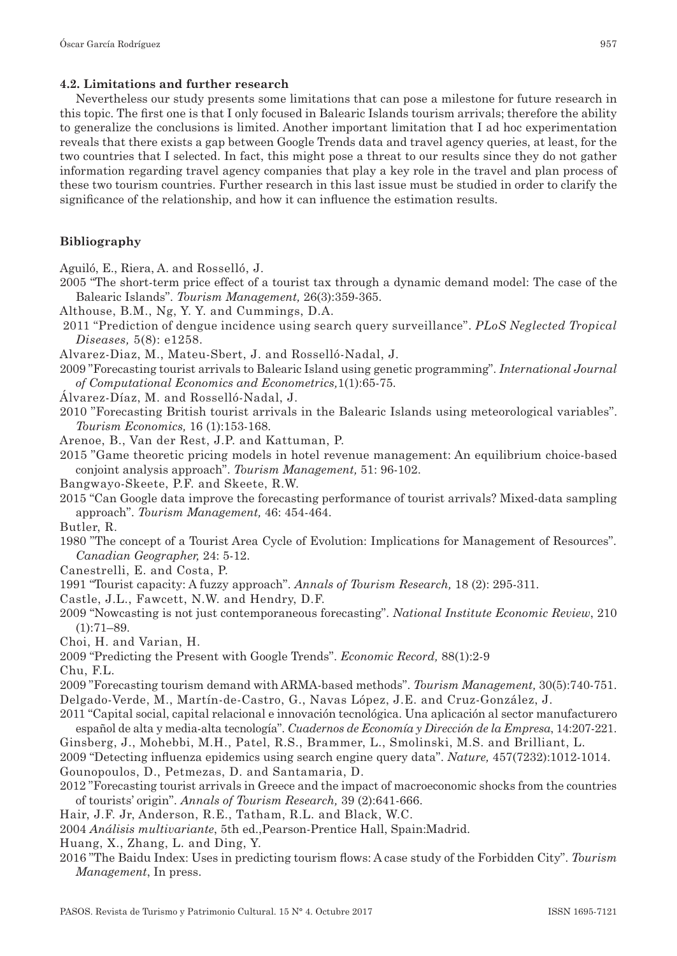## **4.2. Limitations and further research**

Nevertheless our study presents some limitations that can pose a milestone for future research in this topic. The first one is that I only focused in Balearic Islands tourism arrivals; therefore the ability to generalize the conclusions is limited. Another important limitation that I ad hoc experimentation reveals that there exists a gap between Google Trends data and travel agency queries, at least, for the two countries that I selected. In fact, this might pose a threat to our results since they do not gather information regarding travel agency companies that play a key role in the travel and plan process of these two tourism countries. Further research in this last issue must be studied in order to clarify the significance of the relationship, and how it can influence the estimation results.

## **Bibliography**

Aguiló, E., Riera, A. and Rosselló, J.

- 2005 "The short-term price effect of a tourist tax through a dynamic demand model: The case of the Balearic Islands". *Tourism Management,* 26(3):359-365.
- Althouse, B.M., Ng, Y. Y. and Cummings, D.A.
- 2011 "Prediction of dengue incidence using search query surveillance". *PLoS Neglected Tropical Diseases,* 5(8): e1258.
- Alvarez-Diaz, M., Mateu-Sbert, J. and Rosselló-Nadal, J.
- 2009 "Forecasting tourist arrivals to Balearic Island using genetic programming". *International Journal of Computational Economics and Econometrics,*1(1):65-75.
- Álvarez-Díaz, M. and Rosselló-Nadal, J.
- 2010 "Forecasting British tourist arrivals in the Balearic Islands using meteorological variables". *Tourism Economics,* 16 (1):153-168.
- Arenoe, B., Van der Rest, J.P. and Kattuman, P.
- 2015 "Game theoretic pricing models in hotel revenue management: An equilibrium choice-based conjoint analysis approach". *Tourism Management,* 51: 96-102.
- Bangwayo-Skeete, P.F. and Skeete, R.W.
- 2015 "Can Google data improve the forecasting performance of tourist arrivals? Mixed-data sampling approach". *Tourism Management,* 46: 454-464.

Butler, R.

1980 "The concept of a Tourist Area Cycle of Evolution: Implications for Management of Resources". *Canadian Geographer,* 24: 5-12.

Canestrelli, E. and Costa, P.

- 1991 "Tourist capacity: A fuzzy approach". *Annals of Tourism Research,* 18 (2): 295-311.
- Castle, J.L., Fawcett, N.W. and Hendry, D.F.
- 2009 "Nowcasting is not just contemporaneous forecasting". *National Institute Economic Review*, 210  $(1):71-89.$
- Choi, H. and Varian, H.
- 2009 "Predicting the Present with Google Trends". *Economic Record,* 88(1):2-9 Chu, F.L.
- 2009 "Forecasting tourism demand with ARMA-based methods". *Tourism Management,* 30(5):740-751. Delgado-Verde, M., Martín-de-Castro, G., Navas López, J.E. and Cruz-González, J.
- 2011 "Capital social, capital relacional e innovación tecnológica. Una aplicación al sector manufacturero español de alta y media-alta tecnología". *Cuadernos de Economía y Dirección de la Empresa*, 14:207-221.
- Ginsberg, J., Mohebbi, M.H., Patel, R.S., Brammer, L., Smolinski, M.S. and Brilliant, L. 2009 "Detecting influenza epidemics using search engine query data". *Nature,* 457(7232):1012-1014. Gounopoulos, D., Petmezas, D. and Santamaria, D.
- 2012 "Forecasting tourist arrivals in Greece and the impact of macroeconomic shocks from the countries of tourists' origin". *Annals of Tourism Research,* 39 (2):641-666.
- Hair, J.F. Jr, Anderson, R.E., Tatham, R.L. and Black, W.C.
- 2004 *Análisis multivariante*, 5th ed.,Pearson-Prentice Hall, Spain:Madrid.
- Huang, X., Zhang, L. and Ding, Y.
- 2016 "The Baidu Index: Uses in predicting tourism flows: A case study of the Forbidden City". *Tourism Management*, In press.